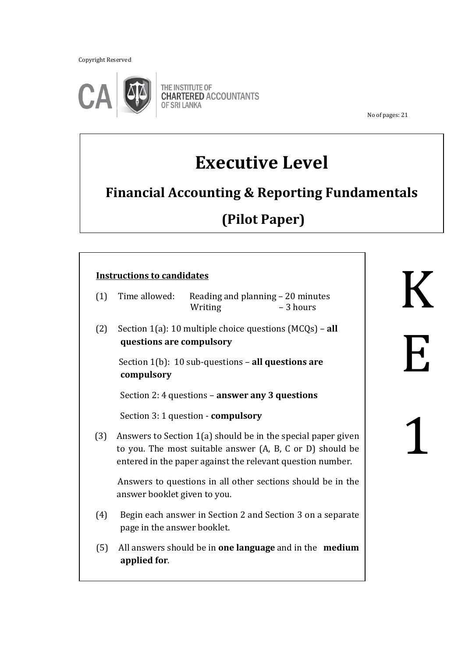Copyright Reserved

֖֖֖֚֚֚֚֬֝֬



THE INSTITUTE OF **CHARTERED ACCOUNTANTS** OF SRI LANKA

No of pages: 21

# **Executive Level**

## **Financial Accounting & Reporting Fundamentals**

# **(Pilot Paper)**

### **Instructions to candidates**

| Time allowed: |         | Reading and planning – 20 minutes |
|---------------|---------|-----------------------------------|
|               | Writing | – 3 hours                         |

 $\overline{a}$ 

 (2) Section 1(a): 10 multiple choice questions (MCQs) – **all questions are compulsory**

 Section 1(b): 10 sub-questions – **all questions are compulsory**

Section 2: 4 questions – **answer any 3 questions**

Section 3: 1 question - **compulsory**

 (3) Answers to Section 1(a) should be in the special paper given to you. The most suitable answer (A, B, C or D) should be entered in the paper against the relevant question number.

 Answers to questions in all other sections should be in the answer booklet given to you.

- (4) Begin each answer in Section 2 and Section 3 on a separate page in the answer booklet.
- (5) All answers should be in **one language** and in the **medium applied for**.

K E 1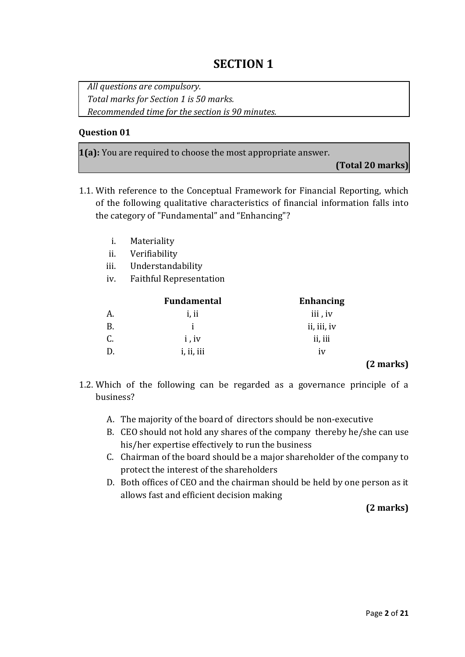### **SECTION 1**

*All questions are compulsory. Total marks for Section 1 is 50 marks. Recommended time for the section is 90 minutes.*

### **Question 01**

**1(a):** You are required to choose the most appropriate answer.

**(Total 20 marks)**

- 1.1. With reference to the Conceptual Framework for Financial Reporting, which of the following qualitative characteristics of financial information falls into the category of "Fundamental" and "Enhancing"?
	- i. Materiality
	- ii. Verifiability

iii. Understandability

iv. Faithful Representation

|    | <b>Fundamental</b> | <b>Enhancing</b> |
|----|--------------------|------------------|
| A. | i, ii              | iii, iv          |
| В. |                    | ii, iii, iv      |
| C. | i, iv              | ii, iii          |
|    | i, ii, iii         | 1V               |
|    |                    | - -              |

### **(2 marks)**

- 1.2. Which of the following can be regarded as a governance principle of a business?
	- A. The majority of the board of directors should be non-executive
	- B. CEO should not hold any shares of the company thereby he/she can use his/her expertise effectively to run the business
	- C. Chairman of the board should be a major shareholder of the company to protect the interest of the shareholders
	- D. Both offices of CEO and the chairman should be held by one person as it allows fast and efficient decision making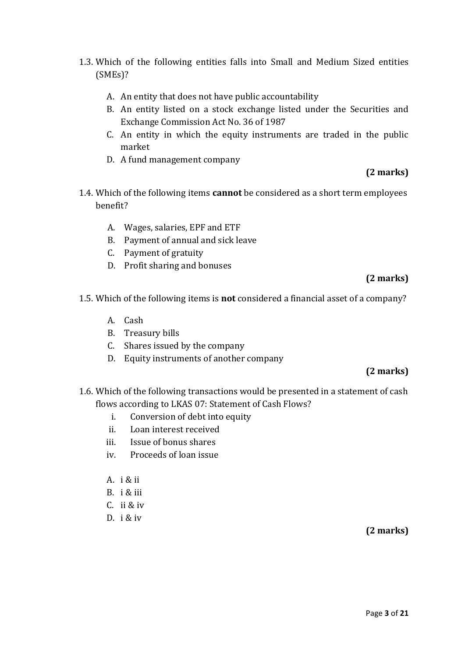- 1.3. Which of the following entities falls into Small and Medium Sized entities (SMEs)?
	- A. An entity that does not have public accountability
	- B. An entity listed on a stock exchange listed under the Securities and Exchange Commission Act No. 36 of 1987
	- C. An entity in which the equity instruments are traded in the public market
	- D. A fund management company

### **(2 marks)**

- 1.4. Which of the following items **cannot** be considered as a short term employees benefit?
	- A. Wages, salaries, EPF and ETF
	- B. Payment of annual and sick leave
	- C. Payment of gratuity
	- D. Profit sharing and bonuses

### **(2 marks)**

- 1.5. Which of the following items is **not** considered a financial asset of a company?
	- A. Cash
	- B. Treasury bills
	- C. Shares issued by the company
	- D. Equity instruments of another company

### **(2 marks)**

- 1.6. Which of the following transactions would be presented in a statement of cash flows according to LKAS 07: Statement of Cash Flows?
	- i. Conversion of debt into equity
	- ii. Loan interest received
	- iii. Issue of bonus shares
	- iv. Proceeds of loan issue
	- A. i & ii
	- B. i & iii
	- C. ii & iv
	- D. i & iv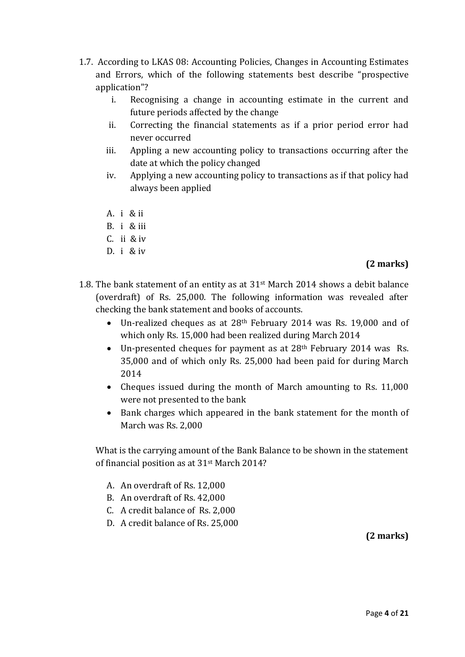- 1.7. According to LKAS 08: Accounting Policies, Changes in Accounting Estimates and Errors, which of the following statements best describe "prospective application"?
	- i. Recognising a change in accounting estimate in the current and future periods affected by the change
	- ii. Correcting the financial statements as if a prior period error had never occurred
	- iii. Appling a new accounting policy to transactions occurring after the date at which the policy changed
	- iv. Applying a new accounting policy to transactions as if that policy had always been applied
	- A. i & ii
	- B. i & iii
	- C. ii & iv
	- D. i & iv

### **(2 marks)**

- 1.8. The bank statement of an entity as at  $31<sup>st</sup>$  March 2014 shows a debit balance (overdraft) of Rs. 25,000. The following information was revealed after checking the bank statement and books of accounts.
	- Un-realized cheques as at 28th February 2014 was Rs. 19,000 and of which only Rs. 15,000 had been realized during March 2014
	- Un-presented cheques for payment as at 28th February 2014 was Rs. 35,000 and of which only Rs. 25,000 had been paid for during March 2014
	- Cheques issued during the month of March amounting to Rs. 11,000 were not presented to the bank
	- Bank charges which appeared in the bank statement for the month of March was Rs. 2,000

What is the carrying amount of the Bank Balance to be shown in the statement of financial position as at 31st March 2014?

- A. An overdraft of Rs. 12,000
- B. An overdraft of Rs. 42,000
- C. A credit balance of Rs. 2,000
- D. A credit balance of Rs. 25,000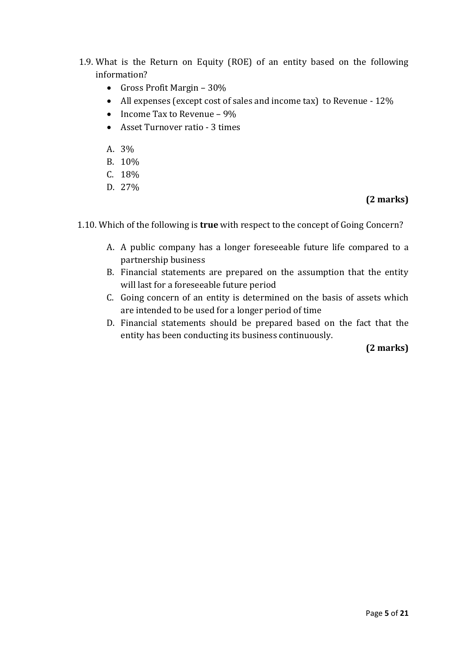- 1.9. What is the Return on Equity (ROE) of an entity based on the following information?
	- Gross Profit Margin 30%
	- All expenses (except cost of sales and income tax) to Revenue 12%
	- Income Tax to Revenue  $9\%$
	- Asset Turnover ratio 3 times
	- A. 3%
	- B. 10%
	- C. 18%
	- D. 27%

### **(2 marks)**

1.10. Which of the following is **true** with respect to the concept of Going Concern?

- A. A public company has a longer foreseeable future life compared to a partnership business
- B. Financial statements are prepared on the assumption that the entity will last for a foreseeable future period
- C. Going concern of an entity is determined on the basis of assets which are intended to be used for a longer period of time
- D. Financial statements should be prepared based on the fact that the entity has been conducting its business continuously.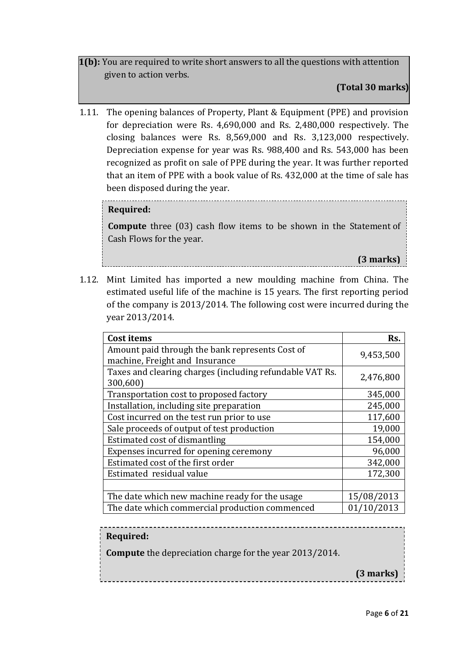**1(b):** You are required to write short answers to all the questions with attention given to action verbs.

**(Total 30 marks)**

1.11. The opening balances of Property, Plant & Equipment (PPE) and provision for depreciation were Rs. 4,690,000 and Rs. 2,480,000 respectively. The closing balances were Rs. 8,569,000 and Rs. 3,123,000 respectively. Depreciation expense for year was Rs. 988,400 and Rs. 543,000 has been recognized as profit on sale of PPE during the year. It was further reported that an item of PPE with a book value of Rs. 432,000 at the time of sale has been disposed during the year.

### **Required:**

**Compute** three (03) cash flow items to be shown in the Statement of Cash Flows for the year.

**(3 marks)**

1.12. Mint Limited has imported a new moulding machine from China. The estimated useful life of the machine is 15 years. The first reporting period of the company is 2013/2014. The following cost were incurred during the year 2013/2014.

| <b>Cost items</b>                                                                 | Rs.        |
|-----------------------------------------------------------------------------------|------------|
| Amount paid through the bank represents Cost of<br>machine, Freight and Insurance | 9,453,500  |
| Taxes and clearing charges (including refundable VAT Rs.<br>300,600)              | 2,476,800  |
| Transportation cost to proposed factory                                           | 345,000    |
| Installation, including site preparation                                          | 245,000    |
| Cost incurred on the test run prior to use                                        | 117,600    |
| Sale proceeds of output of test production                                        | 19,000     |
| Estimated cost of dismantling                                                     | 154,000    |
| Expenses incurred for opening ceremony                                            | 96,000     |
| Estimated cost of the first order                                                 | 342,000    |
| Estimated residual value                                                          | 172,300    |
|                                                                                   |            |
| The date which new machine ready for the usage                                    | 15/08/2013 |
| The date which commercial production commenced                                    | 01/10/2013 |

**Required:**

**Compute** the depreciation charge for the year 2013/2014.

**(3 marks)**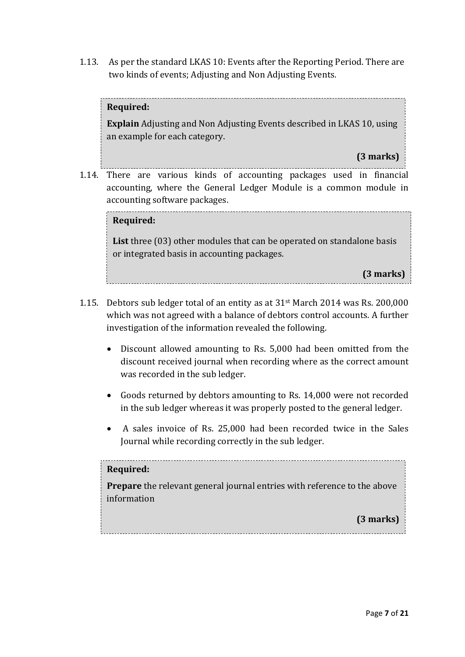1.13. As per the standard LKAS 10: Events after the Reporting Period. There are two kinds of events; Adjusting and Non Adjusting Events.

### **Required:**

**Explain** Adjusting and Non Adjusting Events described in LKAS 10, using an example for each category.

**(3 marks)**

1.14. There are various kinds of accounting packages used in financial accounting, where the General Ledger Module is a common module in accounting software packages.

### **(3 marks) Required:**

**List** three (03) other modules that can be operated on standalone basis or integrated basis in accounting packages.

**(3 marks)**

- 1.15. Debtors sub ledger total of an entity as at 31st March 2014 was Rs. 200,000 which was not agreed with a balance of debtors control accounts. A further investigation of the information revealed the following.
	- Discount allowed amounting to Rs. 5,000 had been omitted from the discount received journal when recording where as the correct amount was recorded in the sub ledger.
	- Goods returned by debtors amounting to Rs. 14,000 were not recorded in the sub ledger whereas it was properly posted to the general ledger.
	- A sales invoice of Rs. 25,000 had been recorded twice in the Sales Journal while recording correctly in the sub ledger.

### **Required:**

**Prepare** the relevant general journal entries with reference to the above information

**(3 marks)**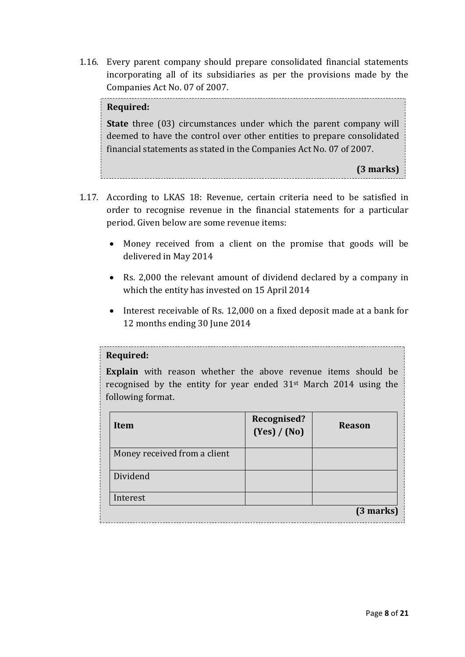1.16. Every parent company should prepare consolidated financial statements incorporating all of its subsidiaries as per the provisions made by the Companies Act No. 07 of 2007.

### **Required:**

**State** three (03) circumstances under which the parent company will deemed to have the control over other entities to prepare consolidated financial statements as stated in the Companies Act No. 07 of 2007.

**(3 marks)**

- 1.17. According to LKAS 18: Revenue, certain criteria need to be satisfied in order to recognise revenue in the financial statements for a particular period. Given below are some revenue items:
	- Money received from a client on the promise that goods will be delivered in May 2014
	- Rs. 2,000 the relevant amount of dividend declared by a company in which the entity has invested on 15 April 2014
	- Interest receivable of Rs. 12,000 on a fixed deposit made at a bank for 12 months ending 30 June 2014

#### **Required:**

**Explain** with reason whether the above revenue items should be recognised by the entity for year ended 31st March 2014 using the following format.

| Item                         | Recognised?<br>(Yes) / (No) | <b>Reason</b> |
|------------------------------|-----------------------------|---------------|
| Money received from a client |                             |               |
| Dividend                     |                             |               |
| Interest                     |                             |               |
|                              |                             | (3 marks)     |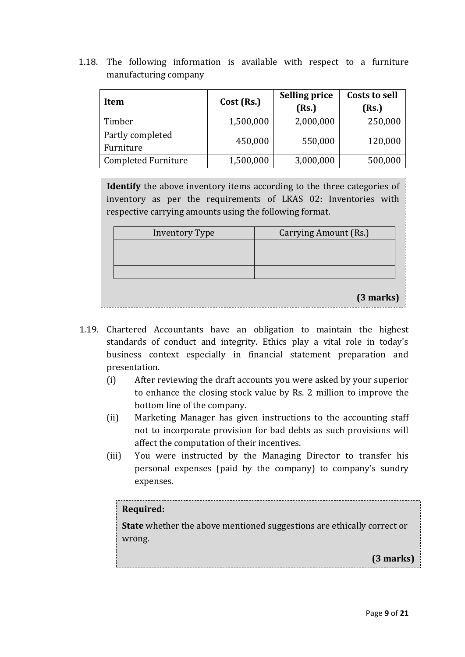1.18. The following information is available with respect to a furniture manufacturing company

| Item                       | Cost (Rs.) | <b>Selling price</b><br>(Rs.) | <b>Costs to sell</b><br>(Rs.) |  |
|----------------------------|------------|-------------------------------|-------------------------------|--|
| Timber                     | 1,500,000  | 2,000,000                     | 250,000                       |  |
| Partly completed           | 450,000    | 550,000                       | 120,000                       |  |
| Furniture                  |            |                               |                               |  |
| <b>Completed Furniture</b> | 1,500,000  | 3,000,000                     | 500,000                       |  |

**Identify** the above inventory items according to the three categories of inventory as per the requirements of LKAS 02: Inventories with respective carrying amounts using the following format.

| <b>Inventory Type</b> | Carrying Amount (Rs.) |
|-----------------------|-----------------------|
|                       |                       |
|                       |                       |
|                       |                       |
|                       | (3 marks)             |

- 1.19. Chartered Accountants have an obligation to maintain the highest standards of conduct and integrity. Ethics play a vital role in today's business context especially in financial statement preparation and presentation.
	- (i) After reviewing the draft accounts you were asked by your superior to enhance the closing stock value by Rs. 2 million to improve the bottom line of the company.
	- (ii) Marketing Manager has given instructions to the accounting staff not to incorporate provision for bad debts as such provisions will affect the computation of their incentives.
	- (iii) You were instructed by the Managing Director to transfer his personal expenses (paid by the company) to company's sundry expenses.

### **Required:**

**State** whether the above mentioned suggestions are ethically correct or wrong.

**(3 marks)**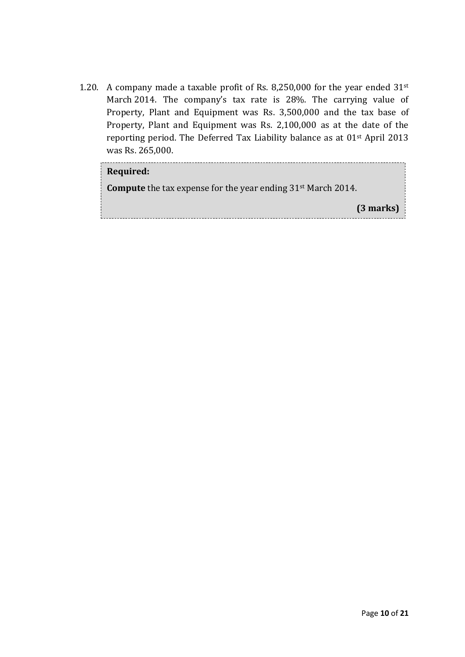1.20. A company made a taxable profit of Rs. 8,250,000 for the year ended 31st March 2014. The company's tax rate is 28%. The carrying value of Property, Plant and Equipment was Rs. 3,500,000 and the tax base of Property, Plant and Equipment was Rs. 2,100,000 as at the date of the reporting period. The Deferred Tax Liability balance as at 01st April 2013 was Rs. 265,000.

| Required:                                                                       |
|---------------------------------------------------------------------------------|
| <b>Compute</b> the tax expense for the year ending 31 <sup>st</sup> March 2014. |
| $(3$ marks)                                                                     |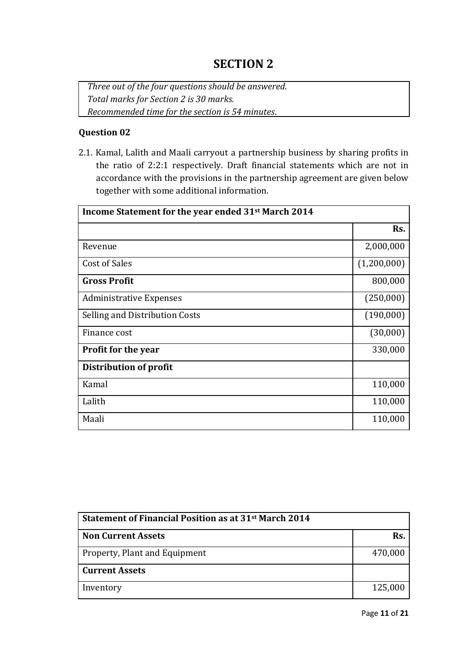### **SECTION 2**

*Three out of the four questions should be answered. Total marks for Section 2 is 30 marks. Recommended time for the section is 54 minutes*.

### **Question 02**

2.1. Kamal, Lalith and Maali carryout a partnership business by sharing profits in the ratio of 2:2:1 respectively. Draft financial statements which are not in accordance with the provisions in the partnership agreement are given below together with some additional information.

| Income Statement for the year ended 31st March 2014 |             |  |
|-----------------------------------------------------|-------------|--|
|                                                     | Rs.         |  |
| Revenue                                             | 2,000,000   |  |
| Cost of Sales                                       | (1,200,000) |  |
| <b>Gross Profit</b>                                 | 800,000     |  |
| <b>Administrative Expenses</b>                      | (250,000)   |  |
| Selling and Distribution Costs                      | (190,000)   |  |
| Finance cost                                        | (30,000)    |  |
| <b>Profit for the year</b>                          | 330,000     |  |
| <b>Distribution of profit</b>                       |             |  |
| Kamal                                               | 110,000     |  |
| Lalith                                              | 110,000     |  |
| Maali                                               | 110,000     |  |

| Statement of Financial Position as at 31 <sup>st</sup> March 2014 |         |  |
|-------------------------------------------------------------------|---------|--|
| <b>Non Current Assets</b>                                         | Rs.     |  |
| <b>Property, Plant and Equipment</b>                              | 470,000 |  |
| <b>Current Assets</b>                                             |         |  |
| Inventory                                                         | 125,000 |  |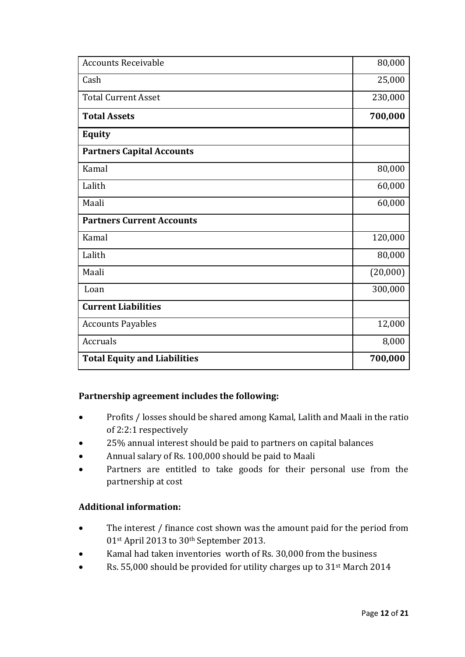| <b>Accounts Receivable</b>          | 80,000   |
|-------------------------------------|----------|
| Cash                                | 25,000   |
| <b>Total Current Asset</b>          | 230,000  |
| <b>Total Assets</b>                 | 700,000  |
| <b>Equity</b>                       |          |
| <b>Partners Capital Accounts</b>    |          |
| Kamal                               | 80,000   |
| Lalith                              | 60,000   |
| Maali                               | 60,000   |
| <b>Partners Current Accounts</b>    |          |
| Kamal                               | 120,000  |
| Lalith                              | 80,000   |
| Maali                               | (20,000) |
| Loan                                | 300,000  |
| <b>Current Liabilities</b>          |          |
| <b>Accounts Payables</b>            | 12,000   |
| <b>Accruals</b>                     | 8,000    |
| <b>Total Equity and Liabilities</b> | 700,000  |

### **Partnership agreement includes the following:**

- Profits / losses should be shared among Kamal, Lalith and Maali in the ratio of 2:2:1 respectively
- 25% annual interest should be paid to partners on capital balances
- Annual salary of Rs. 100,000 should be paid to Maali
- Partners are entitled to take goods for their personal use from the partnership at cost

### **Additional information:**

- The interest / finance cost shown was the amount paid for the period from 01st April 2013 to 30th September 2013.
- Kamal had taken inventories worth of Rs. 30,000 from the business
- Rs. 55,000 should be provided for utility charges up to 31<sup>st</sup> March 2014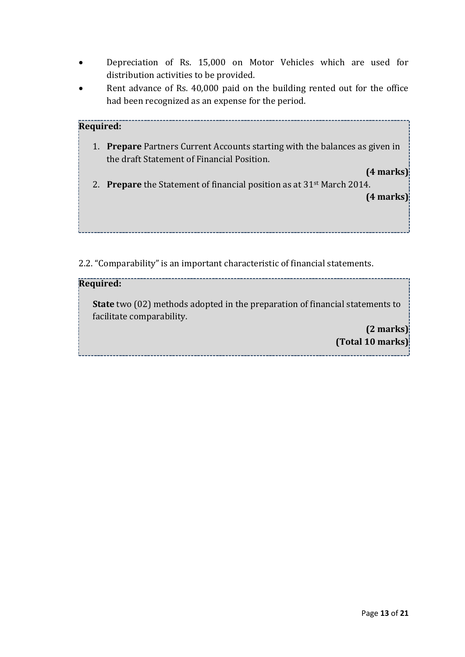- Depreciation of Rs. 15,000 on Motor Vehicles which are used for distribution activities to be provided.
- Rent advance of Rs. 40,000 paid on the building rented out for the office had been recognized as an expense for the period.

| Required: |                                                                                                                               |
|-----------|-------------------------------------------------------------------------------------------------------------------------------|
| 1.        | <b>Prepare</b> Partners Current Accounts starting with the balances as given in<br>the draft Statement of Financial Position. |
|           | $(4$ marks)<br>2. Prepare the Statement of financial position as at $31st$ March 2014.                                        |
|           | $(4$ marks)                                                                                                                   |
|           |                                                                                                                               |

2.2. "Comparability" is an important characteristic of financial statements.

### **Required:**

**State** two (02) methods adopted in the preparation of financial statements to facilitate comparability.

> **(2 marks) (Total 10 marks)**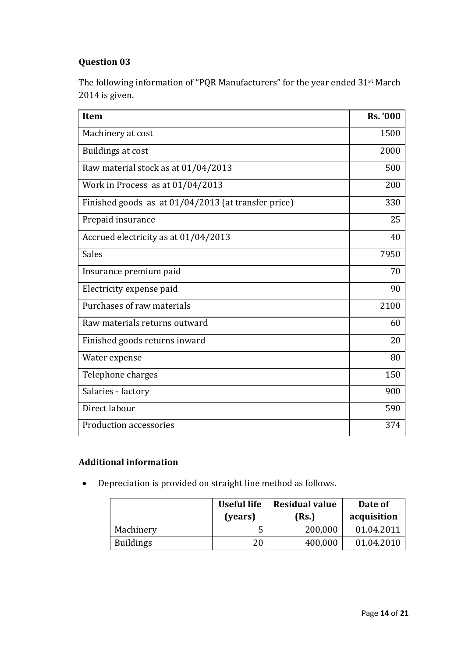### **Question 03**

The following information of "PQR Manufacturers" for the year ended 31st March 2014 is given.

| <b>Item</b>                                         | <b>Rs. '000</b> |
|-----------------------------------------------------|-----------------|
| Machinery at cost                                   | 1500            |
| Buildings at cost                                   | 2000            |
| Raw material stock as at 01/04/2013                 | 500             |
| Work in Process as at 01/04/2013                    | 200             |
| Finished goods as at 01/04/2013 (at transfer price) | 330             |
| Prepaid insurance                                   | 25              |
| Accrued electricity as at 01/04/2013                | 40              |
| <b>Sales</b>                                        | 7950            |
| Insurance premium paid                              | 70              |
| Electricity expense paid                            | 90              |
| Purchases of raw materials                          | 2100            |
| Raw materials returns outward                       | 60              |
| Finished goods returns inward                       | 20              |
| Water expense                                       | 80              |
| Telephone charges                                   | 150             |
| Salaries - factory                                  | 900             |
| Direct labour                                       | 590             |
| Production accessories                              | 374             |

### **Additional information**

Depreciation is provided on straight line method as follows.

|                  | Useful life<br>(years) | <b>Residual value</b><br>(Rs.) | Date of<br>acquisition |
|------------------|------------------------|--------------------------------|------------------------|
| Machinery        | ت                      | 200,000                        | 01.04.2011             |
| <b>Buildings</b> | 20                     | 400,000                        | 01.04.2010             |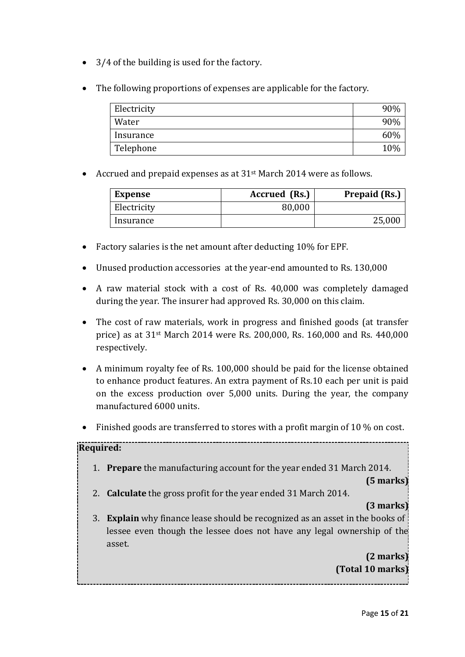- 3/4 of the building is used for the factory.
- The following proportions of expenses are applicable for the factory.

| Electricity | 90% |
|-------------|-----|
| Water       | 90% |
| Insurance   | 60% |
| Telephone   | 10% |

• Accrued and prepaid expenses as at 31<sup>st</sup> March 2014 were as follows.

| <b>Expense</b> | Accrued (Rs.) | <b>Prepaid (Rs.)</b> |
|----------------|---------------|----------------------|
| Electricity    | 80,000        |                      |
| Insurance      |               | 25,000               |

- Factory salaries is the net amount after deducting 10% for EPF.
- Unused production accessories at the year-end amounted to Rs. 130,000
- A raw material stock with a cost of Rs. 40,000 was completely damaged during the year. The insurer had approved Rs. 30,000 on this claim.
- The cost of raw materials, work in progress and finished goods (at transfer price) as at 31st March 2014 were Rs. 200,000, Rs. 160,000 and Rs. 440,000 respectively.
- A minimum royalty fee of Rs. 100,000 should be paid for the license obtained to enhance product features. An extra payment of Rs.10 each per unit is paid on the excess production over 5,000 units. During the year, the company manufactured 6000 units.
- $\bullet$  Finished goods are transferred to stores with a profit margin of 10 % on cost.

### **Required:**

1. **Prepare** the manufacturing account for the year ended 31 March 2014.

**(5 marks)**

2. **Calculate** the gross profit for the year ended 31 March 2014.

### **(3 marks)**

3. **Explain** why finance lease should be recognized as an asset in the books of lessee even though the lessee does not have any legal ownership of the asset.

> **(2 marks) (Total 10 marks)**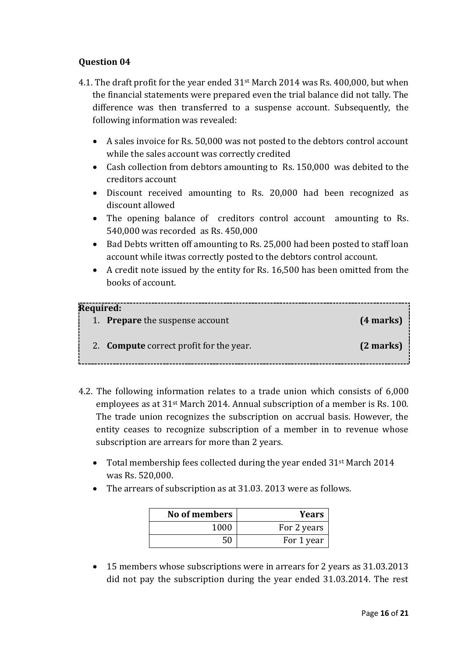### **Question 04**

- 4.1. The draft profit for the year ended 31st March 2014 was Rs. 400,000, but when the financial statements were prepared even the trial balance did not tally. The difference was then transferred to a suspense account. Subsequently, the following information was revealed:
	- A sales invoice for Rs. 50,000 was not posted to the debtors control account while the sales account was correctly credited
	- Cash collection from debtors amounting to Rs. 150,000 was debited to the creditors account
	- Discount received amounting to Rs. 20,000 had been recognized as discount allowed
	- The opening balance of creditors control account amounting to Rs. 540,000 was recorded as Rs. 450,000
	- Bad Debts written off amounting to Rs. 25,000 had been posted to staff loan account while itwas correctly posted to the debtors control account.
	- A credit note issued by the entity for Rs. 16,500 has been omitted from the books of account.

| Required:                                      |             |
|------------------------------------------------|-------------|
| 1. <b>Prepare</b> the suspense account         | $(4$ marks) |
| 2. <b>Compute</b> correct profit for the year. | $(2$ marks) |

- 4.2. The following information relates to a trade union which consists of 6,000 employees as at 31st March 2014. Annual subscription of a member is Rs. 100. The trade union recognizes the subscription on accrual basis. However, the entity ceases to recognize subscription of a member in to revenue whose subscription are arrears for more than 2 years.
	- Total membership fees collected during the year ended 31<sup>st</sup> March 2014 was Rs. 520,000.
	- The arrears of subscription as at 31.03. 2013 were as follows.

| No of members | <b>Years</b> |
|---------------|--------------|
| 1000          | For 2 years  |
| 50            | For 1 year   |

• 15 members whose subscriptions were in arrears for 2 years as 31.03.2013 did not pay the subscription during the year ended 31.03.2014. The rest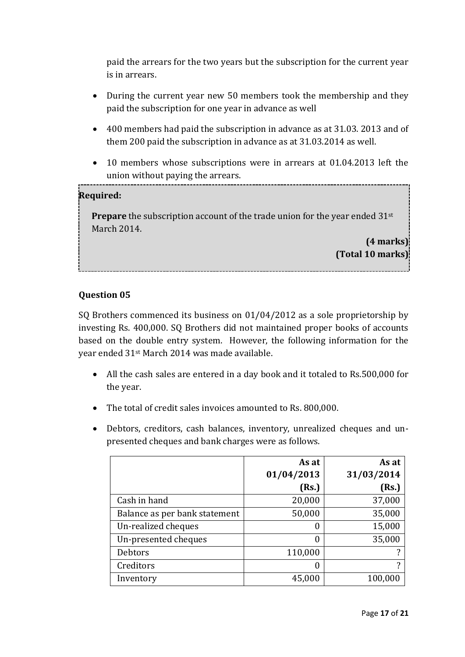paid the arrears for the two years but the subscription for the current year is in arrears.

- During the current year new 50 members took the membership and they paid the subscription for one year in advance as well
- 400 members had paid the subscription in advance as at 31.03. 2013 and of them 200 paid the subscription in advance as at 31.03.2014 as well.
- 10 members whose subscriptions were in arrears at 01.04.2013 left the union without paying the arrears.

### **Required:**

**Prepare** the subscription account of the trade union for the year ended 31<sup>st</sup> March 2014.

> **(4 marks) (Total 10 marks)**

### **Question 05**

SQ Brothers commenced its business on 01/04/2012 as a sole proprietorship by investing Rs. 400,000. SQ Brothers did not maintained proper books of accounts based on the double entry system. However, the following information for the year ended 31st March 2014 was made available.

- All the cash sales are entered in a day book and it totaled to Rs.500,000 for the year.
- The total of credit sales invoices amounted to Rs. 800,000.
- Debtors, creditors, cash balances, inventory, unrealized cheques and unpresented cheques and bank charges were as follows.

|                               | As at      | As at      |
|-------------------------------|------------|------------|
|                               | 01/04/2013 | 31/03/2014 |
|                               | (Rs.)      | (Rs.)      |
| Cash in hand                  | 20,000     | 37,000     |
| Balance as per bank statement | 50,000     | 35,000     |
| Un-realized cheques           | 0          | 15,000     |
| Un-presented cheques          | 0          | 35,000     |
| Debtors                       | 110,000    |            |
| Creditors                     | 0          | ?          |
| Inventory                     | 45,000     | 100,000    |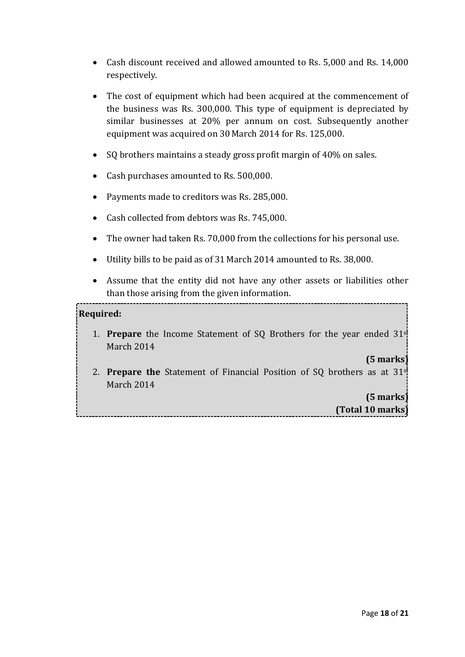- Cash discount received and allowed amounted to Rs. 5,000 and Rs. 14,000 respectively.
- The cost of equipment which had been acquired at the commencement of the business was Rs. 300,000. This type of equipment is depreciated by similar businesses at 20% per annum on cost. Subsequently another equipment was acquired on 30 March 2014 for Rs. 125,000.
- SQ brothers maintains a steady gross profit margin of 40% on sales.
- Cash purchases amounted to Rs. 500,000.
- Payments made to creditors was Rs. 285,000.
- Cash collected from debtors was Rs. 745,000.
- The owner had taken Rs. 70,000 from the collections for his personal use.
- Utility bills to be paid as of 31 March 2014 amounted to Rs. 38,000.
- Assume that the entity did not have any other assets or liabilities other than those arising from the given information.

#### **Required:**

1. **Prepare** the Income Statement of SQ Brothers for the year ended 31st March 2014

#### **(5 marks)**

2. **Prepare the** Statement of Financial Position of SQ brothers as at 31st March 2014

### **(5 marks) (Total 10 marks)**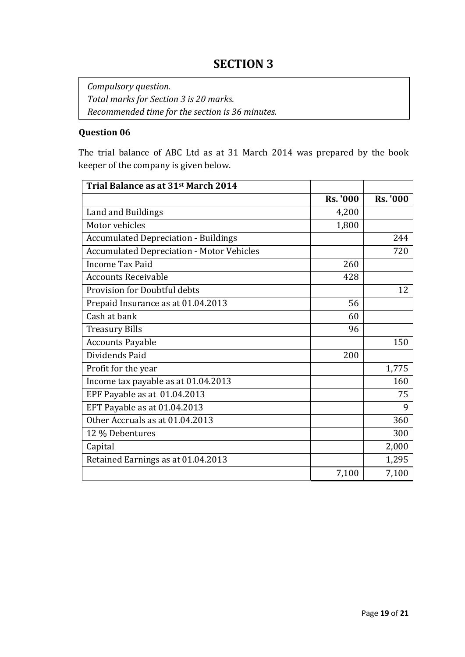*Compulsory question. Total marks for Section 3 is 20 marks. Recommended time for the section is 36 minutes.*

### **Question 06**

The trial balance of ABC Ltd as at 31 March 2014 was prepared by the book keeper of the company is given below.

| Trial Balance as at 31st March 2014              |                 |                 |
|--------------------------------------------------|-----------------|-----------------|
|                                                  | <b>Rs. '000</b> | <b>Rs. '000</b> |
| Land and Buildings                               | 4,200           |                 |
| Motor vehicles                                   | 1,800           |                 |
| <b>Accumulated Depreciation - Buildings</b>      |                 | 244             |
| <b>Accumulated Depreciation - Motor Vehicles</b> |                 | 720             |
| <b>Income Tax Paid</b>                           | 260             |                 |
| <b>Accounts Receivable</b>                       | 428             |                 |
| Provision for Doubtful debts                     |                 | 12              |
| Prepaid Insurance as at 01.04.2013               | 56              |                 |
| Cash at bank                                     | 60              |                 |
| <b>Treasury Bills</b>                            | 96              |                 |
| <b>Accounts Payable</b>                          |                 | 150             |
| Dividends Paid                                   | 200             |                 |
| Profit for the year                              |                 | 1,775           |
| Income tax payable as at 01.04.2013              |                 | 160             |
| EPF Payable as at 01.04.2013                     |                 | 75              |
| EFT Payable as at 01.04.2013                     |                 | 9               |
| Other Accruals as at 01.04.2013                  |                 | 360             |
| 12 % Debentures                                  |                 | 300             |
| Capital                                          |                 | 2,000           |
| Retained Earnings as at 01.04.2013               |                 | 1,295           |
|                                                  | 7,100           | 7,100           |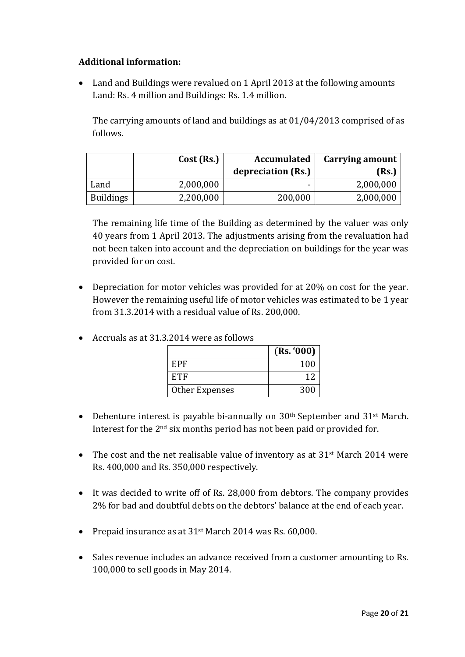### **Additional information:**

 Land and Buildings were revalued on 1 April 2013 at the following amounts Land: Rs. 4 million and Buildings: Rs. 1.4 million.

The carrying amounts of land and buildings as at 01/04/2013 comprised of as follows.

|                  | Cost (Rs.) | <b>Accumulated</b> | Carrying amount |
|------------------|------------|--------------------|-----------------|
|                  |            | depreciation (Rs.) | (Rs.)           |
| Land             | 2,000,000  | -                  | 2,000,000       |
| <b>Buildings</b> | 2,200,000  | 200,000            | 2,000,000       |

The remaining life time of the Building as determined by the valuer was only 40 years from 1 April 2013. The adjustments arising from the revaluation had not been taken into account and the depreciation on buildings for the year was provided for on cost.

 Depreciation for motor vehicles was provided for at 20% on cost for the year. However the remaining useful life of motor vehicles was estimated to be 1 year from 31.3.2014 with a residual value of Rs. 200,000.

|                | (Rs. '000) |
|----------------|------------|
| EPF            | 100        |
| <b>ETF</b>     | 12         |
| Other Expenses | 300        |

Accruals as at 31.3.2014 were as follows

- Debenture interest is payable bi-annually on  $30<sup>th</sup>$  September and  $31<sup>st</sup>$  March. Interest for the 2nd six months period has not been paid or provided for.
- The cost and the net realisable value of inventory as at 31<sup>st</sup> March 2014 were Rs. 400,000 and Rs. 350,000 respectively.
- It was decided to write off of Rs. 28,000 from debtors. The company provides 2% for bad and doubtful debts on the debtors' balance at the end of each year.
- Prepaid insurance as at 31<sup>st</sup> March 2014 was Rs. 60,000.
- Sales revenue includes an advance received from a customer amounting to Rs. 100,000 to sell goods in May 2014.